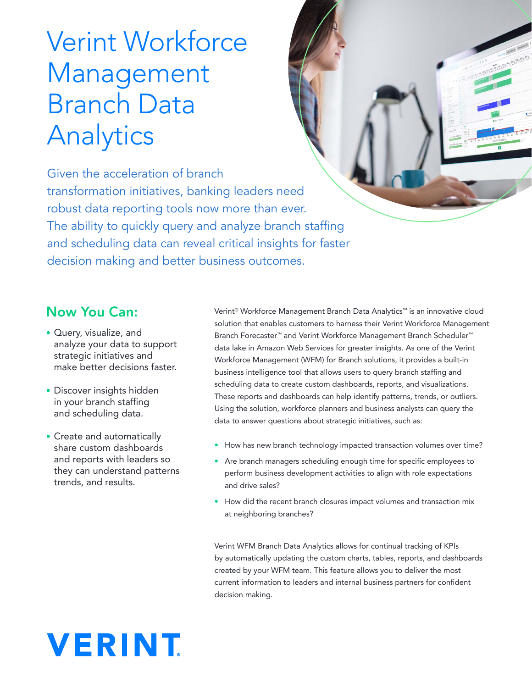## Verint Workforce Management Branch Data Analytics

Given the acceleration of branch transformation initiatives, banking leaders need robust data reporting tools now more than ever. The ability to quickly query and analyze branch staffing and scheduling data can reveal critical insights for faster decision making and better business outcomes.

### Now You Can:

- Query, visualize, and analyze your data to support strategic initiatives and make better decisions faster.
- Discover insights hidden in your branch staffing and scheduling data.
- Create and automatically share custom dashboards and reports with leaders so they can understand patterns trends, and results.

Verint® Workforce Management Branch Data Analytics™ is an innovative cloud solution that enables customers to harness their Verint Workforce Management Branch Forecaster™ and Verint Workforce Management Branch Scheduler™ data lake in Amazon Web Services for greater insights. As one of the Verint Workforce Management (WFM) for Branch solutions, it provides a built-in business intelligence tool that allows users to query branch staffing and scheduling data to create custom dashboards, reports, and visualizations. These reports and dashboards can help identify patterns, trends, or outliers. Using the solution, workforce planners and business analysts can query the data to answer questions about strategic initiatives, such as:

- How has new branch technology impacted transaction volumes over time?
- Are branch managers scheduling enough time for specific employees to perform business development activities to align with role expectations and drive sales?
- How did the recent branch closures impact volumes and transaction mix at neighboring branches?

Verint WFM Branch Data Analytics allows for continual tracking of KPIs by automatically updating the custom charts, tables, reports, and dashboards created by your WFM team. This feature allows you to deliver the most current information to leaders and internal business partners for confident decision making.

# **VERINT**